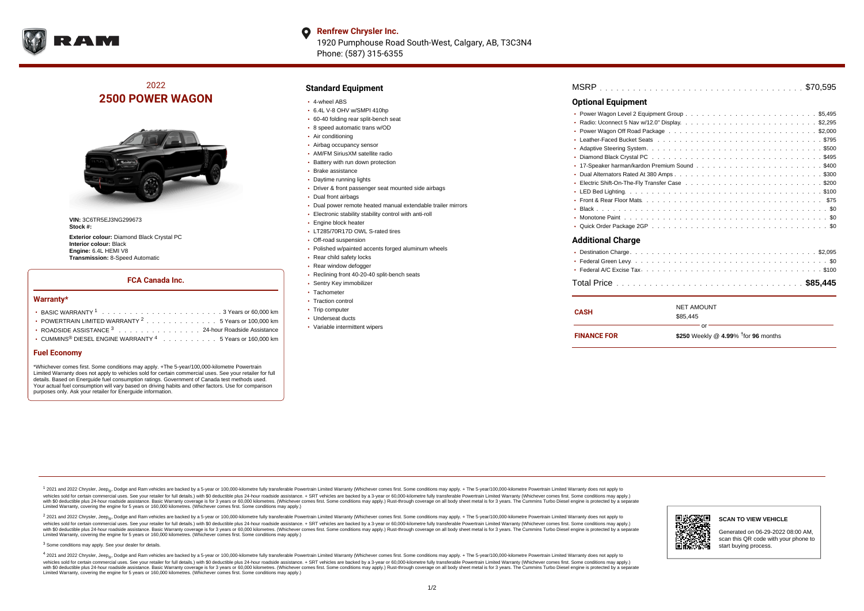

#### **Renfrew Chrysler Inc.** O 1920 Pumphouse Road South-West, Calgary, AB, T3C3N4 Phone: (587) 315-6355

## 2022 **2500 POWER WAGON**



**VIN:** 3C6TR5EJ3NG299673 **Stock #:**

**Exterior colour:** Diamond Black Crystal PC **Interior colour:** Black **Engine:** 6.4L HEMI V8 **Transmission:** 8-Speed Automatic

### **FCA Canada Inc.**

#### **Warranty\***

| • POWERTRAIN LIMITED WARRANTY <sup>2</sup> 5 Years or 100,000 km        |
|-------------------------------------------------------------------------|
| ROADSIDE ASSISTANCE 3 24-hour Roadside Assistance                       |
| • CUMMINS <sup>®</sup> DIESEL ENGINE WARRANTY $4$ 5 Years or 160,000 km |

#### **Fuel Economy**

\*Whichever comes first. Some conditions may apply. +The 5-year/100,000-kilometre Powertrain Limited Warranty does not apply to vehicles sold for certain commercial uses. See your retailer for full details. Based on Energuide fuel consumption ratings. Government of Canada test methods used. Your actual fuel consumption will vary based on driving habits and other factors. Use for comparison purposes only. Ask your retailer for Energuide information.

### **Standard Equipment**

- 4-wheel ABS
- 6.4L V-8 OHV w/SMPI 410hp
- 60-40 folding rear split-bench seat
- 8 speed automatic trans w/OD
- Air conditioning
- Airbag occupancy sensor AM/FM SiriusXM satellite radio
- 
- Battery with run down protection
- Brake assistance
- Daytime running lights
- Driver & front passenger seat mounted side airbags
- Dual front airbags
- Dual power remote heated manual extendable trailer mirrors
- Electronic stability stability control with anti-roll
- Engine block heater
- LT285/70R17D OWL S-rated tires
- Off-road suspension
- Polished w/painted accents forged aluminum wheels
- Rear child safety locks
- Rear window defogger
- Reclining front 40-20-40 split-bench seats
- Sentry Key immobilizer
- Tachometer
- Traction control
- Trip computer
- Underseat ducts
- Variable intermittent wipers

| \$70.595                  |  |  |
|---------------------------|--|--|
| <b>Optional Equipment</b> |  |  |
| $\bullet$                 |  |  |
| ٠                         |  |  |
| ۰                         |  |  |
|                           |  |  |
|                           |  |  |
| ٠                         |  |  |
| ٠                         |  |  |
| ٠                         |  |  |
| ٠                         |  |  |
|                           |  |  |
|                           |  |  |
|                           |  |  |
|                           |  |  |
| ٠                         |  |  |
| <b>Additional Charge</b>  |  |  |
| ۰                         |  |  |
|                           |  |  |
|                           |  |  |
|                           |  |  |

| <b>FINANCE FOR</b> | \$250 Weekly @ 4.99% $†$ for 96 months |
|--------------------|----------------------------------------|
|                    | \$85.445                               |
| CASH               | <b>NET AMOUNT</b>                      |

<sup>1</sup> 2021 and 2022 Chrysler, Jeep<sub>®</sub>, Dodge and Ram vehicles are backed by a 5-year or 100,000-kilometre fully transferable Powertrain Limited Warranty (Whichever comes first. Some conditions may apply. + The 5-year/100,000 vehides sold for certain commercial uses. See your retailer for full details.) with \$0 deductible plus 24-hour roadside assistance. + SRT vehicles are backed by a 3-years or 50,000 kilometres. (Whichever comes first. Some Limited Warranty, covering the engine for 5 years or 160,000 kilometres. (Whichever comes first. Some conditions may apply.)

2 2021 and 2022 Chrysler, Jeep<sub>®</sub>, Dodge and Ram vehicles are backed by a 5-year or 100,000-kilometre fully transferable Powertrain Limited Warranty (Whichever comes first. Some conditions may apply. + The 5-year/100,000-k vehicles sold for certain commercial uses. See your retailer for full details.) with SO deductible plus 24-hour roadside assistance. + SRT vehicles are backed by a 3-year or 60.000-kilometre fully transferable Powertrain. vando concerned a mandato control and the mandato concerned a mandato concerned a mandato concerned a mandato concerned a mandato concerned a mandato concerned as concerned as a subsequent of the concerned as a subsequent Limited Warranty, covering the engine for 5 years or 160,000 kilometres. (Whichever comes first. Some conditions may apply.)

<sup>3</sup> Some conditions may apply. See your dealer for details.

4 2021 and 2022 Chrysler, Jeep<sub>®</sub>, Dodge and Ram vehicles are backed by a 5-year or 100,000-kilometre fully transferable Powertrain Limited Warranty (Whichever comes first. Some conditions may apply. + The 5-year/100,000-k vehicles sold for certain commercial uses. See your retailer for full details.) with \$0 deductible plus 24-hour roadside assistance. + SRT vehicles are backed by a 3-year or 60,000-kilometre fully transferable Powertrain L with \$0 deductible plus 24-hour roadside assistance. Basic Warranty coverage is for 3 years or 60,000 kilometres. (Whichever comes first. Some conditions may apply.) Rust-through coverage on all body sheet metal is for 3 y Limited Warranty, covering the engine for 5 years or 160,000 kilometres. (Whichever comes first. Some conditions may apply.)



Generated on 06-29-2022 08:00 AM, scan this QR code with your phone to start buying process.